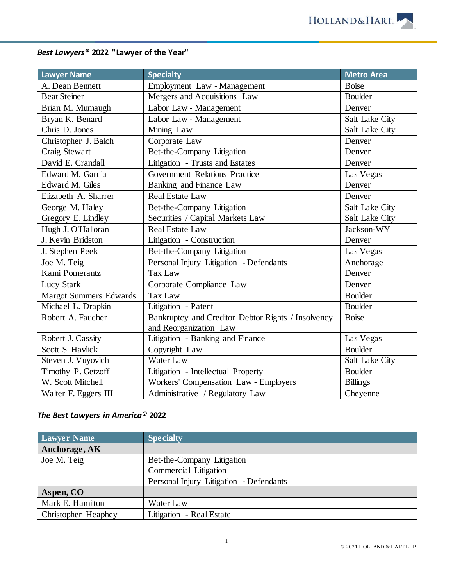## *Best Lawyers®* **2022 "Lawyer of the Year"**

| <b>Lawyer Name</b>            | <b>Specialty</b>                                                             | <b>Metro Area</b> |
|-------------------------------|------------------------------------------------------------------------------|-------------------|
| A. Dean Bennett               | Employment Law - Management                                                  | <b>Boise</b>      |
| <b>Beat Steiner</b>           | Mergers and Acquisitions Law                                                 | <b>Boulder</b>    |
| Brian M. Mumaugh              | Labor Law - Management                                                       | Denver            |
| Bryan K. Benard               | Labor Law - Management                                                       | Salt Lake City    |
| Chris D. Jones                | Mining Law                                                                   | Salt Lake City    |
| Christopher J. Balch          | Corporate Law                                                                | Denver            |
| Craig Stewart                 | Bet-the-Company Litigation                                                   | Denver            |
| David E. Crandall             | Litigation - Trusts and Estates                                              | Denver            |
| Edward M. Garcia              | <b>Government Relations Practice</b>                                         | Las Vegas         |
| Edward M. Giles               | Banking and Finance Law                                                      | Denver            |
| Elizabeth A. Sharrer          | <b>Real Estate Law</b>                                                       | Denver            |
| George M. Haley               | Bet-the-Company Litigation                                                   | Salt Lake City    |
| Gregory E. Lindley            | Securities / Capital Markets Law                                             | Salt Lake City    |
| Hugh J. O'Halloran            | Real Estate Law                                                              | Jackson-WY        |
| J. Kevin Bridston             | Litigation - Construction                                                    | Denver            |
| J. Stephen Peek               | Bet-the-Company Litigation                                                   | Las Vegas         |
| Joe M. Teig                   | Personal Injury Litigation - Defendants                                      | Anchorage         |
| Kami Pomerantz                | <b>Tax Law</b>                                                               | Denver            |
| Lucy Stark                    | Corporate Compliance Law                                                     | Denver            |
| <b>Margot Summers Edwards</b> | Tax Law                                                                      | <b>Boulder</b>    |
| Michael L. Drapkin            | Litigation - Patent                                                          | <b>Boulder</b>    |
| Robert A. Faucher             | Bankruptcy and Creditor Debtor Rights / Insolvency<br>and Reorganization Law | <b>Boise</b>      |
| Robert J. Cassity             | Litigation - Banking and Finance                                             | Las Vegas         |
| Scott S. Havlick              | Copyright Law                                                                | <b>Boulder</b>    |
| Steven J. Vuyovich            | Water Law                                                                    | Salt Lake City    |
| Timothy P. Getzoff            | Litigation - Intellectual Property                                           | <b>Boulder</b>    |
| W. Scott Mitchell             | Workers' Compensation Law - Employers                                        | <b>Billings</b>   |
| Walter F. Eggers III          | Administrative / Regulatory Law                                              | Cheyenne          |

## *The Best Lawyers in America©* **2022**

| Lawyer Name         | <b>Specialty</b>                        |
|---------------------|-----------------------------------------|
| Anchorage, AK       |                                         |
| Joe M. Teig         | Bet-the-Company Litigation              |
|                     | Commercial Litigation                   |
|                     | Personal Injury Litigation - Defendants |
| Aspen, CO           |                                         |
| Mark E. Hamilton    | Water Law                               |
| Christopher Heaphey | Litigation - Real Estate                |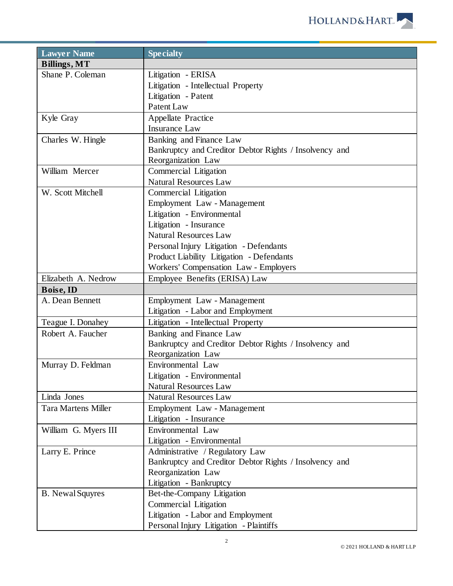| <b>Lawyer Name</b>         | <b>Specialty</b>                                       |
|----------------------------|--------------------------------------------------------|
| <b>Billings, MT</b>        |                                                        |
| Shane P. Coleman           | Litigation - ERISA                                     |
|                            | Litigation - Intellectual Property                     |
|                            | Litigation - Patent                                    |
|                            | Patent Law                                             |
| Kyle Gray                  | <b>Appellate Practice</b>                              |
|                            | <b>Insurance Law</b>                                   |
| Charles W. Hingle          | Banking and Finance Law                                |
|                            | Bankruptcy and Creditor Debtor Rights / Insolvency and |
|                            | Reorganization Law                                     |
| William Mercer             | Commercial Litigation                                  |
|                            | <b>Natural Resources Law</b>                           |
| W. Scott Mitchell          | Commercial Litigation                                  |
|                            | Employment Law - Management                            |
|                            | Litigation - Environmental                             |
|                            | Litigation - Insurance                                 |
|                            | <b>Natural Resources Law</b>                           |
|                            | Personal Injury Litigation - Defendants                |
|                            | Product Liability Litigation - Defendants              |
|                            | Workers' Compensation Law - Employers                  |
| Elizabeth A. Nedrow        | Employee Benefits (ERISA) Law                          |
| <b>Boise, ID</b>           |                                                        |
| A. Dean Bennett            | Employment Law - Management                            |
|                            | Litigation - Labor and Employment                      |
| Teague I. Donahey          | Litigation - Intellectual Property                     |
| Robert A. Faucher          | Banking and Finance Law                                |
|                            | Bankruptcy and Creditor Debtor Rights / Insolvency and |
|                            | Reorganization Law                                     |
| Murray D. Feldman          | Environmental Law                                      |
|                            | Litigation - Environmental                             |
|                            | <b>Natural Resources Law</b>                           |
| Linda Jones                | <b>Natural Resources Law</b>                           |
| <b>Tara Martens Miller</b> | Employment Law - Management                            |
|                            | Litigation - Insurance                                 |
| William G. Myers III       | Environmental Law                                      |
|                            | Litigation - Environmental                             |
| Larry E. Prince            | Administrative / Regulatory Law                        |
|                            | Bankruptcy and Creditor Debtor Rights / Insolvency and |
|                            | Reorganization Law                                     |
|                            | Litigation - Bankruptcy                                |
| <b>B.</b> Newal Squyres    | Bet-the-Company Litigation                             |
|                            | Commercial Litigation                                  |
|                            | Litigation - Labor and Employment                      |
|                            | Personal Injury Litigation - Plaintiffs                |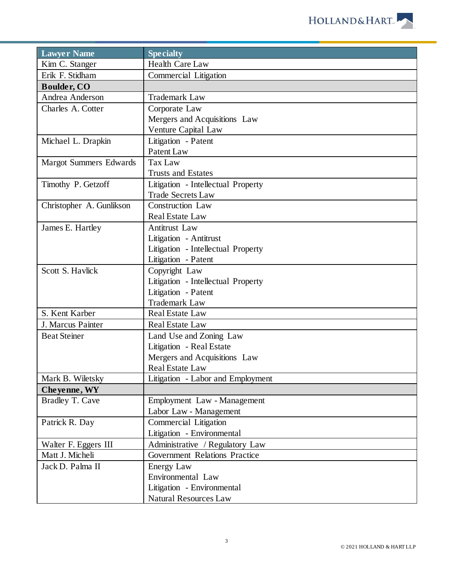

| <b>Lawyer Name</b>            | <b>Specialty</b>                   |
|-------------------------------|------------------------------------|
| Kim C. Stanger                | <b>Health Care Law</b>             |
| Erik F. Stidham               | <b>Commercial Litigation</b>       |
| <b>Boulder, CO</b>            |                                    |
| Andrea Anderson               | <b>Trademark Law</b>               |
| Charles A. Cotter             | Corporate Law                      |
|                               | Mergers and Acquisitions Law       |
|                               | Venture Capital Law                |
| Michael L. Drapkin            | Litigation - Patent                |
|                               | Patent Law                         |
| <b>Margot Summers Edwards</b> | <b>Tax Law</b>                     |
|                               | <b>Trusts and Estates</b>          |
| Timothy P. Getzoff            | Litigation - Intellectual Property |
|                               | <b>Trade Secrets Law</b>           |
| Christopher A. Gunlikson      | Construction Law                   |
|                               | <b>Real Estate Law</b>             |
| James E. Hartley              | <b>Antitrust Law</b>               |
|                               | Litigation - Antitrust             |
|                               | Litigation - Intellectual Property |
|                               | Litigation - Patent                |
| Scott S. Havlick              | Copyright Law                      |
|                               | Litigation - Intellectual Property |
|                               | Litigation - Patent                |
|                               | <b>Trademark Law</b>               |
| S. Kent Karber                | <b>Real Estate Law</b>             |
| J. Marcus Painter             | <b>Real Estate Law</b>             |
| <b>Beat Steiner</b>           | Land Use and Zoning Law            |
|                               | Litigation - Real Estate           |
|                               | Mergers and Acquisitions Law       |
|                               | <b>Real Estate Law</b>             |
| Mark B. Wiletsky              | Litigation - Labor and Employment  |
| Cheyenne, WY                  |                                    |
| Bradley T. Cave               | Employment Law - Management        |
|                               | Labor Law - Management             |
| Patrick R. Day                | Commercial Litigation              |
|                               | Litigation - Environmental         |
| Walter F. Eggers III          | Administrative / Regulatory Law    |
| Matt J. Micheli               | Government Relations Practice      |
| Jack D. Palma II              | Energy Law                         |
|                               | Environmental Law                  |
|                               | Litigation - Environmental         |
|                               | <b>Natural Resources Law</b>       |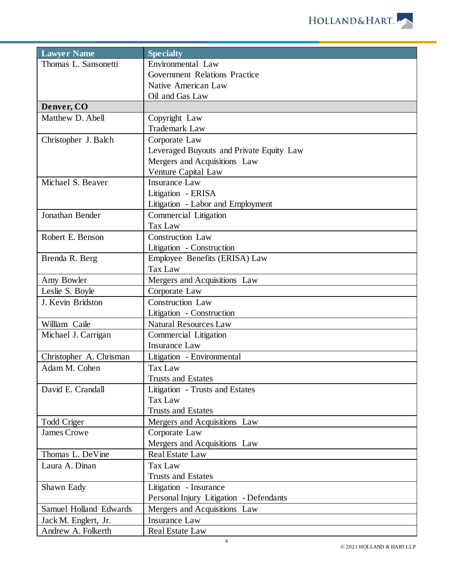| <b>Lawyer Name</b>      | <b>Specialty</b>                         |
|-------------------------|------------------------------------------|
| Thomas L. Sansonetti    | Environmental Law                        |
|                         | Government Relations Practice            |
|                         | Native American Law                      |
|                         | Oil and Gas Law                          |
| Denver, CO              |                                          |
| Matthew D. Abell        | Copyright Law                            |
|                         | <b>Trademark Law</b>                     |
| Christopher J. Balch    | Corporate Law                            |
|                         | Leveraged Buyouts and Private Equity Law |
|                         | Mergers and Acquisitions Law             |
|                         | Venture Capital Law                      |
| Michael S. Beaver       | <b>Insurance Law</b>                     |
|                         | Litigation - ERISA                       |
|                         | Litigation - Labor and Employment        |
| Jonathan Bender         | Commercial Litigation                    |
|                         | <b>Tax Law</b>                           |
| Robert E. Benson        | Construction Law                         |
|                         | Litigation - Construction                |
| Brenda R. Berg          | Employee Benefits (ERISA) Law            |
|                         | <b>Tax Law</b>                           |
| Amy Bowler              | Mergers and Acquisitions Law             |
| Leslie S. Boyle         | Corporate Law                            |
| J. Kevin Bridston       | <b>Construction Law</b>                  |
|                         | Litigation - Construction                |
| William Caile           | <b>Natural Resources Law</b>             |
| Michael J. Carrigan     | Commercial Litigation                    |
|                         | <b>Insurance Law</b>                     |
| Christopher A. Chrisman | Litigation - Environmental               |
| Adam M. Cohen           | Tax Law                                  |
|                         | <b>Trusts and Estates</b>                |
| David E. Crandall       | Litigation - Trusts and Estates          |
|                         | Tax Law                                  |
|                         | <b>Trusts and Estates</b>                |
| <b>Todd Criger</b>      | Mergers and Acquisitions Law             |
| <b>James Crowe</b>      | Corporate Law                            |
|                         | Mergers and Acquisitions Law             |
| Thomas L. DeVine        | <b>Real Estate Law</b>                   |
| Laura A. Dinan          | Tax Law                                  |
|                         | <b>Trusts and Estates</b>                |
| Shawn Eady              | Litigation - Insurance                   |
|                         | Personal Injury Litigation - Defendants  |
| Samuel Holland Edwards  | Mergers and Acquisitions Law             |
| Jack M. Englert, Jr.    | <b>Insurance Law</b>                     |
| Andrew A. Folkerth      | Real Estate Law                          |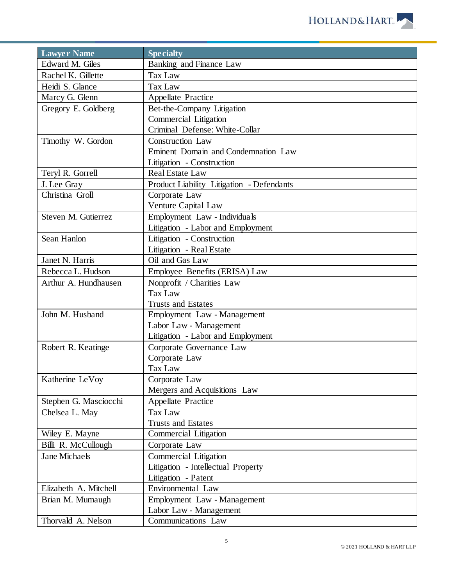

| <b>Lawyer Name</b>    | <b>Specialty</b>                          |
|-----------------------|-------------------------------------------|
| Edward M. Giles       | Banking and Finance Law                   |
| Rachel K. Gillette    | Tax Law                                   |
| Heidi S. Glance       | <b>Tax Law</b>                            |
| Marcy G. Glenn        | <b>Appellate Practice</b>                 |
| Gregory E. Goldberg   | Bet-the-Company Litigation                |
|                       | Commercial Litigation                     |
|                       | Criminal Defense: White-Collar            |
| Timothy W. Gordon     | <b>Construction Law</b>                   |
|                       | Eminent Domain and Condemnation Law       |
|                       | Litigation - Construction                 |
| Teryl R. Gorrell      | <b>Real Estate Law</b>                    |
| J. Lee Gray           | Product Liability Litigation - Defendants |
| Christina Groll       | Corporate Law                             |
|                       | Venture Capital Law                       |
| Steven M. Gutierrez   | Employment Law - Individuals              |
|                       | Litigation - Labor and Employment         |
| Sean Hanlon           | Litigation - Construction                 |
|                       | Litigation - Real Estate                  |
| Janet N. Harris       | Oil and Gas Law                           |
| Rebecca L. Hudson     | Employee Benefits (ERISA) Law             |
| Arthur A. Hundhausen  | Nonprofit / Charities Law                 |
|                       | <b>Tax Law</b>                            |
|                       | <b>Trusts and Estates</b>                 |
| John M. Husband       | Employment Law - Management               |
|                       | Labor Law - Management                    |
|                       | Litigation - Labor and Employment         |
| Robert R. Keatinge    | Corporate Governance Law                  |
|                       | Corporate Law                             |
|                       | <b>Tax Law</b>                            |
| Katherine LeVoy       | Corporate Law                             |
|                       | Mergers and Acquisitions Law              |
| Stephen G. Masciocchi | <b>Appellate Practice</b>                 |
| Chelsea L. May        | Tax Law                                   |
|                       | <b>Trusts and Estates</b>                 |
| Wiley E. Mayne        | Commercial Litigation                     |
| Billi R. McCullough   | Corporate Law                             |
| <b>Jane Michaels</b>  | Commercial Litigation                     |
|                       | Litigation - Intellectual Property        |
|                       | Litigation - Patent                       |
| Elizabeth A. Mitchell | Environmental Law                         |
| Brian M. Mumaugh      | Employment Law - Management               |
|                       | Labor Law - Management                    |
| Thorvald A. Nelson    | Communications Law                        |
|                       |                                           |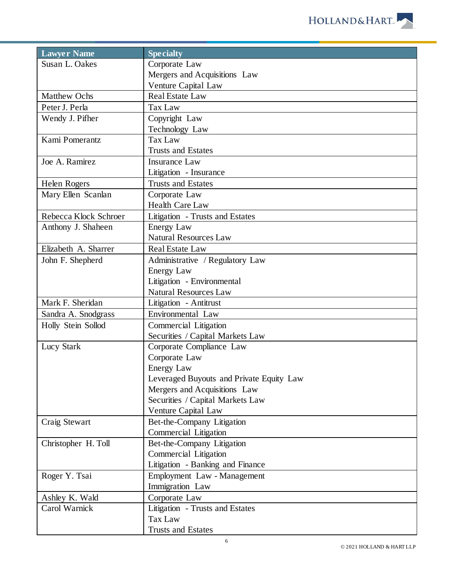

| <b>Lawyer Name</b>    | <b>Specialty</b>                         |
|-----------------------|------------------------------------------|
| Susan L. Oakes        | Corporate Law                            |
|                       | Mergers and Acquisitions Law             |
|                       | Venture Capital Law                      |
| <b>Matthew Ochs</b>   | <b>Real Estate Law</b>                   |
| Peter J. Perla        | <b>Tax Law</b>                           |
| Wendy J. Pifher       | Copyright Law                            |
|                       | Technology Law                           |
| Kami Pomerantz        | Tax Law                                  |
|                       | <b>Trusts and Estates</b>                |
| Joe A. Ramirez        | <b>Insurance Law</b>                     |
|                       | Litigation - Insurance                   |
| Helen Rogers          | <b>Trusts and Estates</b>                |
| Mary Ellen Scanlan    | Corporate Law                            |
|                       | <b>Health Care Law</b>                   |
| Rebecca Klock Schroer | Litigation - Trusts and Estates          |
| Anthony J. Shaheen    | Energy Law                               |
|                       | <b>Natural Resources Law</b>             |
| Elizabeth A. Sharrer  | <b>Real Estate Law</b>                   |
| John F. Shepherd      | Administrative / Regulatory Law          |
|                       | Energy Law                               |
|                       | Litigation - Environmental               |
|                       | <b>Natural Resources Law</b>             |
| Mark F. Sheridan      | Litigation - Antitrust                   |
| Sandra A. Snodgrass   | Environmental Law                        |
| Holly Stein Sollod    | Commercial Litigation                    |
|                       | Securities / Capital Markets Law         |
| Lucy Stark            | Corporate Compliance Law                 |
|                       | Corporate Law                            |
|                       | <b>Energy Law</b>                        |
|                       | Leveraged Buyouts and Private Equity Law |
|                       | Mergers and Acquisitions Law             |
|                       | Securities / Capital Markets Law         |
|                       | Venture Capital Law                      |
| Craig Stewart         | Bet-the-Company Litigation               |
|                       | Commercial Litigation                    |
| Christopher H. Toll   | Bet-the-Company Litigation               |
|                       | <b>Commercial Litigation</b>             |
|                       | Litigation - Banking and Finance         |
| Roger Y. Tsai         | Employment Law - Management              |
|                       | Immigration Law                          |
| Ashley K. Wald        | Corporate Law                            |
| Carol Warnick         | Litigation - Trusts and Estates          |
|                       | Tax Law                                  |
|                       | <b>Trusts and Estates</b>                |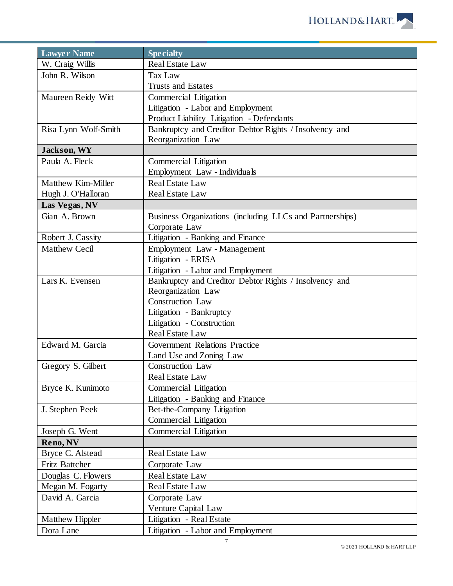| Lawyer Name          | <b>Specialty</b>                                         |
|----------------------|----------------------------------------------------------|
| W. Craig Willis      | <b>Real Estate Law</b>                                   |
| John R. Wilson       | Tax Law                                                  |
|                      | <b>Trusts and Estates</b>                                |
| Maureen Reidy Witt   | Commercial Litigation                                    |
|                      | Litigation - Labor and Employment                        |
|                      | Product Liability Litigation - Defendants                |
| Risa Lynn Wolf-Smith | Bankruptcy and Creditor Debtor Rights / Insolvency and   |
|                      | Reorganization Law                                       |
| Jackson, WY          |                                                          |
| Paula A. Fleck       | Commercial Litigation                                    |
|                      | Employment Law - Individuals                             |
| Matthew Kim-Miller   | <b>Real Estate Law</b>                                   |
| Hugh J. O'Halloran   | Real Estate Law                                          |
| Las Vegas, NV        |                                                          |
| Gian A. Brown        | Business Organizations (including LLCs and Partnerships) |
|                      | Corporate Law                                            |
| Robert J. Cassity    | Litigation - Banking and Finance                         |
| <b>Matthew Cecil</b> | Employment Law - Management                              |
|                      | Litigation - ERISA                                       |
|                      | Litigation - Labor and Employment                        |
| Lars K. Evensen      | Bankruptcy and Creditor Debtor Rights / Insolvency and   |
|                      | Reorganization Law                                       |
|                      | <b>Construction Law</b>                                  |
|                      | Litigation - Bankruptcy                                  |
|                      | Litigation - Construction                                |
|                      | <b>Real Estate Law</b>                                   |
| Edward M. Garcia     | Government Relations Practice                            |
|                      | Land Use and Zoning Law                                  |
| Gregory S. Gilbert   | Construction Law                                         |
|                      | Real Estate Law                                          |
| Bryce K. Kunimoto    | Commercial Litigation                                    |
|                      | Litigation - Banking and Finance                         |
| J. Stephen Peek      | Bet-the-Company Litigation                               |
|                      | <b>Commercial Litigation</b>                             |
| Joseph G. Went       | <b>Commercial Litigation</b>                             |
| Reno, NV             |                                                          |
| Bryce C. Alstead     | <b>Real Estate Law</b>                                   |
| Fritz Battcher       | Corporate Law                                            |
| Douglas C. Flowers   | <b>Real Estate Law</b>                                   |
| Megan M. Fogarty     | <b>Real Estate Law</b>                                   |
| David A. Garcia      | Corporate Law                                            |
|                      | Venture Capital Law                                      |
| Matthew Hippler      | Litigation - Real Estate                                 |
| Dora Lane            | Litigation - Labor and Employment                        |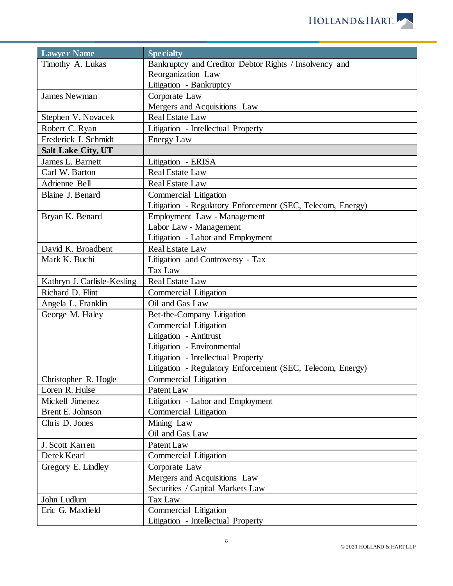| <b>Lawyer Name</b>          | Specialty                                                  |
|-----------------------------|------------------------------------------------------------|
| Timothy A. Lukas            | Bankruptcy and Creditor Debtor Rights / Insolvency and     |
|                             | Reorganization Law                                         |
|                             | Litigation - Bankruptcy                                    |
| <b>James Newman</b>         | Corporate Law                                              |
|                             | Mergers and Acquisitions Law                               |
| Stephen V. Novacek          | <b>Real Estate Law</b>                                     |
| Robert C. Ryan              | Litigation - Intellectual Property                         |
| Frederick J. Schmidt        | Energy Law                                                 |
| Salt Lake City, UT          |                                                            |
| James L. Barnett            | Litigation - ERISA                                         |
| Carl W. Barton              | <b>Real Estate Law</b>                                     |
| Adrienne Bell               | <b>Real Estate Law</b>                                     |
| Blaine J. Benard            | Commercial Litigation                                      |
|                             | Litigation - Regulatory Enforcement (SEC, Telecom, Energy) |
| Bryan K. Benard             | Employment Law - Management                                |
|                             | Labor Law - Management                                     |
|                             | Litigation - Labor and Employment                          |
| David K. Broadbent          | <b>Real Estate Law</b>                                     |
| Mark K. Buchi               | Litigation and Controversy - Tax                           |
|                             | Tax Law                                                    |
| Kathryn J. Carlisle-Kesling | <b>Real Estate Law</b>                                     |
| Richard D. Flint            | <b>Commercial Litigation</b>                               |
| Angela L. Franklin          | Oil and Gas Law                                            |
| George M. Haley             | Bet-the-Company Litigation                                 |
|                             | <b>Commercial Litigation</b>                               |
|                             | Litigation - Antitrust                                     |
|                             | Litigation - Environmental                                 |
|                             | Litigation - Intellectual Property                         |
|                             | Litigation - Regulatory Enforcement (SEC, Telecom, Energy) |
| Christopher R. Hogle        | Commercial Litigation                                      |
| Loren R. Hulse              | Patent Law                                                 |
| Mickell Jimenez             | Litigation - Labor and Employment                          |
| Brent E. Johnson            | <b>Commercial Litigation</b>                               |
| Chris D. Jones              | Mining Law                                                 |
|                             | Oil and Gas Law                                            |
| J. Scott Karren             | Patent Law                                                 |
| Derek Kearl                 | <b>Commercial Litigation</b>                               |
| Gregory E. Lindley          | Corporate Law                                              |
|                             | Mergers and Acquisitions Law                               |
|                             | Securities / Capital Markets Law                           |
| John Ludlum                 | Tax Law                                                    |
| Eric G. Maxfield            | Commercial Litigation                                      |
|                             | Litigation - Intellectual Property                         |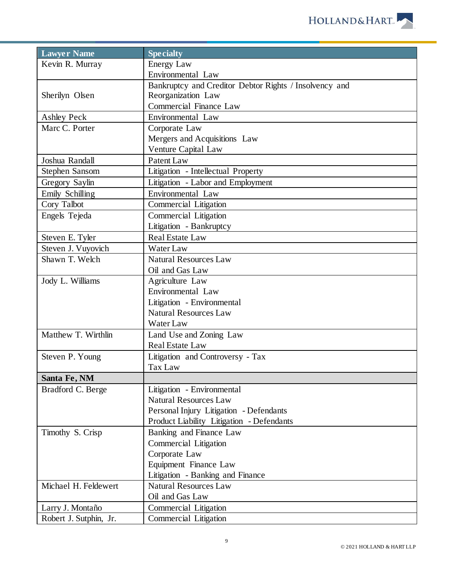| <b>Lawyer Name</b>     | <b>Specialty</b>                                       |
|------------------------|--------------------------------------------------------|
| Kevin R. Murray        | Energy Law                                             |
|                        | Environmental Law                                      |
|                        | Bankruptcy and Creditor Debtor Rights / Insolvency and |
| Sherilyn Olsen         | Reorganization Law                                     |
|                        | <b>Commercial Finance Law</b>                          |
| <b>Ashley Peck</b>     | Environmental Law                                      |
| Marc C. Porter         | Corporate Law                                          |
|                        | Mergers and Acquisitions Law                           |
|                        | Venture Capital Law                                    |
| Joshua Randall         | Patent Law                                             |
| Stephen Sansom         | Litigation - Intellectual Property                     |
| Gregory Saylin         | Litigation - Labor and Employment                      |
| Emily Schilling        | Environmental Law                                      |
| Cory Talbot            | <b>Commercial Litigation</b>                           |
| Engels Tejeda          | Commercial Litigation                                  |
|                        | Litigation - Bankruptcy                                |
| Steven E. Tyler        | <b>Real Estate Law</b>                                 |
| Steven J. Vuyovich     | Water Law                                              |
| Shawn T. Welch         | <b>Natural Resources Law</b>                           |
|                        | Oil and Gas Law                                        |
| Jody L. Williams       | Agriculture Law                                        |
|                        | Environmental Law                                      |
|                        | Litigation - Environmental                             |
|                        | <b>Natural Resources Law</b>                           |
|                        | Water Law                                              |
| Matthew T. Wirthlin    | Land Use and Zoning Law                                |
|                        | Real Estate Law                                        |
| Steven P. Young        | Litigation and Controversy - Tax                       |
|                        | <b>Tax Law</b>                                         |
| Santa Fe, NM           |                                                        |
| Bradford C. Berge      | Litigation - Environmental                             |
|                        | <b>Natural Resources Law</b>                           |
|                        | Personal Injury Litigation - Defendants                |
|                        | Product Liability Litigation - Defendants              |
| Timothy S. Crisp       | Banking and Finance Law                                |
|                        | <b>Commercial Litigation</b>                           |
|                        | Corporate Law                                          |
|                        | Equipment Finance Law                                  |
|                        | Litigation - Banking and Finance                       |
| Michael H. Feldewert   | <b>Natural Resources Law</b>                           |
|                        | Oil and Gas Law                                        |
| Larry J. Montaño       | Commercial Litigation                                  |
| Robert J. Sutphin, Jr. | Commercial Litigation                                  |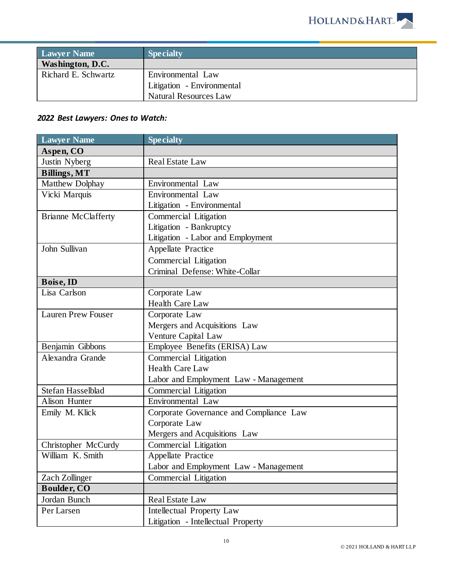

| <b>Lawyer Name</b>  | <b>Specialty</b>             |
|---------------------|------------------------------|
| Washington, D.C.    |                              |
| Richard E. Schwartz | Environmental Law            |
|                     | Litigation - Environmental   |
|                     | <b>Natural Resources Law</b> |

## *2022 Best Lawyers: Ones to Watch:*

| <b>Lawyer Name</b>         | <b>Specialty</b>                        |
|----------------------------|-----------------------------------------|
| Aspen, CO                  |                                         |
| Justin Nyberg              | <b>Real Estate Law</b>                  |
| <b>Billings, MT</b>        |                                         |
| Matthew Dolphay            | Environmental Law                       |
| Vicki Marquis              | Environmental Law                       |
|                            | Litigation - Environmental              |
| <b>Brianne McClafferty</b> | Commercial Litigation                   |
|                            | Litigation - Bankruptcy                 |
|                            | Litigation - Labor and Employment       |
| John Sullivan              | Appellate Practice                      |
|                            | Commercial Litigation                   |
|                            | Criminal Defense: White-Collar          |
| Boise, ID                  |                                         |
| Lisa Carlson               | Corporate Law                           |
|                            | <b>Health Care Law</b>                  |
| <b>Lauren Prew Fouser</b>  | Corporate Law                           |
|                            | Mergers and Acquisitions Law            |
|                            | Venture Capital Law                     |
| Benjamin Gibbons           | Employee Benefits (ERISA) Law           |
| Alexandra Grande           | <b>Commercial Litigation</b>            |
|                            | <b>Health Care Law</b>                  |
|                            | Labor and Employment Law - Management   |
| Stefan Hasselblad          | <b>Commercial Litigation</b>            |
| Alison Hunter              | Environmental Law                       |
| Emily M. Klick             | Corporate Governance and Compliance Law |
|                            | Corporate Law                           |
|                            | Mergers and Acquisitions Law            |
| Christopher McCurdy        | Commercial Litigation                   |
| William K. Smith           | <b>Appellate Practice</b>               |
|                            | Labor and Employment Law - Management   |
| Zach Zollinger             | Commercial Litigation                   |
| <b>Boulder, CO</b>         |                                         |
| Jordan Bunch               | Real Estate Law                         |
| Per Larsen                 | <b>Intellectual Property Law</b>        |
|                            | Litigation - Intellectual Property      |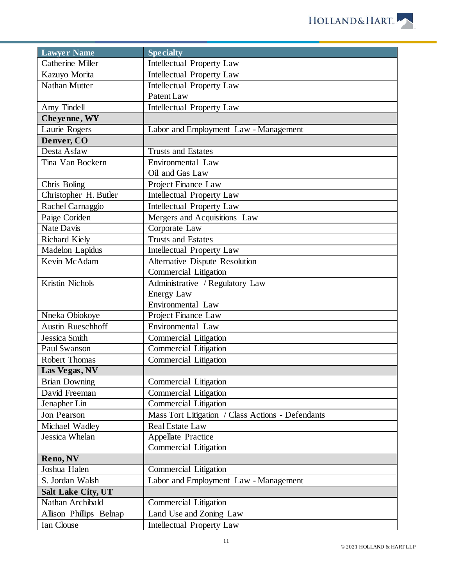| <b>Lawyer Name</b>       | <b>Specialty</b>                                  |
|--------------------------|---------------------------------------------------|
| <b>Catherine Miller</b>  | <b>Intellectual Property Law</b>                  |
| Kazuyo Morita            | <b>Intellectual Property Law</b>                  |
| <b>Nathan Mutter</b>     | <b>Intellectual Property Law</b>                  |
|                          | Patent Law                                        |
| Amy Tindell              | <b>Intellectual Property Law</b>                  |
| Cheyenne, WY             |                                                   |
| Laurie Rogers            | Labor and Employment Law - Management             |
| Denver, CO               |                                                   |
| Desta Asfaw              | <b>Trusts and Estates</b>                         |
| Tina Van Bockern         | Environmental Law                                 |
|                          | Oil and Gas Law                                   |
| Chris Boling             | Project Finance Law                               |
| Christopher H. Butler    | <b>Intellectual Property Law</b>                  |
| Rachel Carnaggio         | <b>Intellectual Property Law</b>                  |
| Paige Coriden            | Mergers and Acquisitions Law                      |
| <b>Nate Davis</b>        | Corporate Law                                     |
| <b>Richard Kiely</b>     | <b>Trusts and Estates</b>                         |
| Madelon Lapidus          | <b>Intellectual Property Law</b>                  |
| Kevin McAdam             | Alternative Dispute Resolution                    |
|                          | Commercial Litigation                             |
| Kristin Nichols          | Administrative / Regulatory Law                   |
|                          | <b>Energy Law</b>                                 |
|                          | Environmental Law                                 |
| Nneka Obiokoye           | Project Finance Law                               |
| <b>Austin Rueschhoff</b> | Environmental Law                                 |
| Jessica Smith            | Commercial Litigation                             |
| Paul Swanson             | Commercial Litigation                             |
| Robert Thomas            | Commercial Litigation                             |
| Las Vegas, NV            |                                                   |
| <b>Brian Downing</b>     | Commercial Litigation                             |
| David Freeman            | Commercial Litigation                             |
| Jenapher Lin             | Commercial Litigation                             |
| Jon Pearson              | Mass Tort Litigation / Class Actions - Defendants |
| Michael Wadley           | <b>Real Estate Law</b>                            |
| Jessica Whelan           | <b>Appellate Practice</b>                         |
|                          | Commercial Litigation                             |
| <b>Reno, NV</b>          |                                                   |
| Joshua Halen             | <b>Commercial Litigation</b>                      |
| S. Jordan Walsh          | Labor and Employment Law - Management             |
| Salt Lake City, UT       |                                                   |
| Nathan Archibald         | Commercial Litigation                             |
| Allison Phillips Belnap  | Land Use and Zoning Law                           |
| Ian Clouse               | <b>Intellectual Property Law</b>                  |